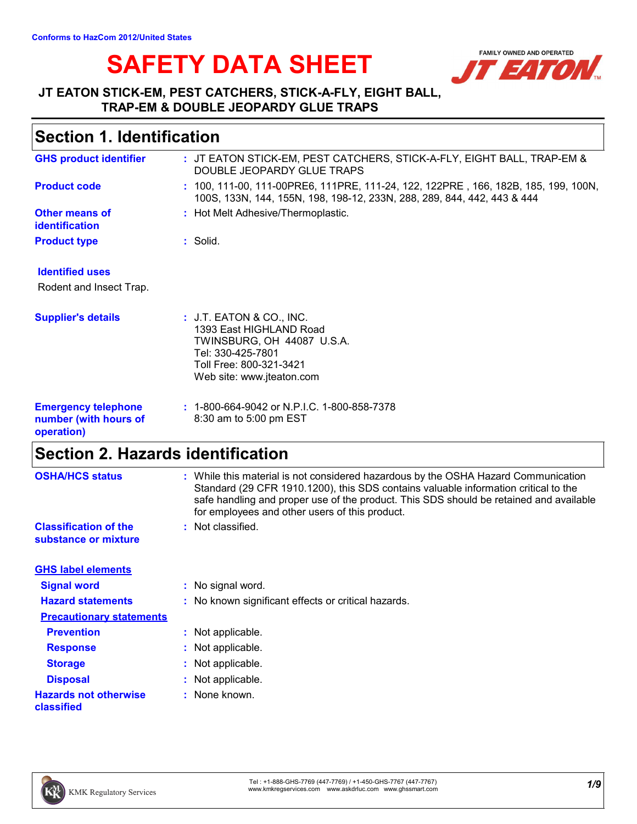# SAFETY DATA SHEET **AND OPERATED**



### **JT EATON STICK-EM, PEST CATCHERS, STICK-A-FLY, EIGHT BALL, TRAP-EM & DOUBLE JEOPARDY GLUE TRAPS**

## **Section 1. Identification**

| : JT EATON STICK-EM, PEST CATCHERS, STICK-A-FLY, EIGHT BALL, TRAP-EM &<br>DOUBLE JEOPARDY GLUE TRAPS                                                           |
|----------------------------------------------------------------------------------------------------------------------------------------------------------------|
| : 100, 111-00, 111-00PRE6, 111PRE, 111-24, 122, 122PRE, 166, 182B, 185, 199, 100N,<br>100S, 133N, 144, 155N, 198, 198-12, 233N, 288, 289, 844, 442, 443 & 444  |
| : Hot Melt Adhesive/Thermoplastic.                                                                                                                             |
| : Solid.                                                                                                                                                       |
|                                                                                                                                                                |
|                                                                                                                                                                |
| : J.T. EATON & CO., INC.<br>1393 East HIGHLAND Road<br>TWINSBURG, OH 44087 U.S.A.<br>Tel: 330-425-7801<br>Toll Free: 800-321-3421<br>Web site: www.jteaton.com |
| $: 1-800-664-9042$ or N.P.I.C. 1-800-858-7378<br>8:30 am to 5:00 pm EST                                                                                        |
|                                                                                                                                                                |

### **Section 2. Hazards identification**

| <b>OSHA/HCS status</b>                               | : While this material is not considered hazardous by the OSHA Hazard Communication<br>Standard (29 CFR 1910.1200), this SDS contains valuable information critical to the<br>safe handling and proper use of the product. This SDS should be retained and available<br>for employees and other users of this product. |
|------------------------------------------------------|-----------------------------------------------------------------------------------------------------------------------------------------------------------------------------------------------------------------------------------------------------------------------------------------------------------------------|
| <b>Classification of the</b><br>substance or mixture | : Not classified.                                                                                                                                                                                                                                                                                                     |
| <b>GHS label elements</b>                            |                                                                                                                                                                                                                                                                                                                       |
| <b>Signal word</b>                                   | : No signal word.                                                                                                                                                                                                                                                                                                     |
| <b>Hazard statements</b>                             | : No known significant effects or critical hazards.                                                                                                                                                                                                                                                                   |
| <b>Precautionary statements</b>                      |                                                                                                                                                                                                                                                                                                                       |
| <b>Prevention</b>                                    | : Not applicable.                                                                                                                                                                                                                                                                                                     |
| <b>Response</b>                                      | : Not applicable.                                                                                                                                                                                                                                                                                                     |
| <b>Storage</b>                                       | : Not applicable.                                                                                                                                                                                                                                                                                                     |
| <b>Disposal</b>                                      | : Not applicable.                                                                                                                                                                                                                                                                                                     |
| <b>Hazards not otherwise</b><br>classified           | : None known.                                                                                                                                                                                                                                                                                                         |

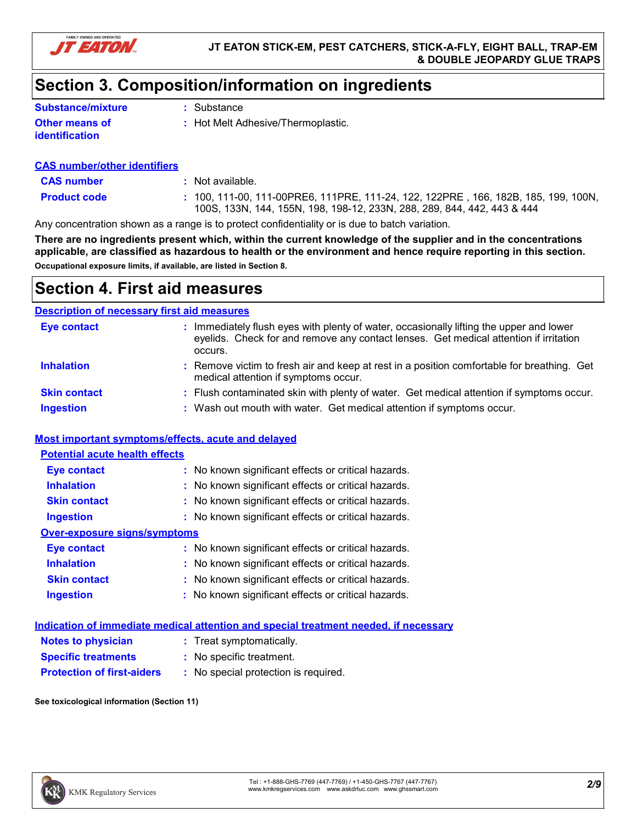

# **Section 3. Composition/information on ingredients**

| <b>Substance/mixture</b>         | : Substance                        |
|----------------------------------|------------------------------------|
| Other means of<br>identification | : Hot Melt Adhesive/Thermoplastic. |

### **CAS number/other identifiers**

| <b>CAS number</b>   | Not available.                                                                                                                                                 |
|---------------------|----------------------------------------------------------------------------------------------------------------------------------------------------------------|
| <b>Product code</b> | : 100. 111-00. 111-00PRE6. 111PRE. 111-24. 122. 122PRE . 166. 182B. 185. 199. 100N.<br>100S, 133N, 144, 155N, 198, 198-12, 233N, 288, 289, 844, 442, 443 & 444 |

Any concentration shown as a range is to protect confidentiality or is due to batch variation.

**There are no ingredients present which, within the current knowledge of the supplier and in the concentrations applicable, are classified as hazardous to health or the environment and hence require reporting in this section. Occupational exposure limits, if available, are listed in Section 8.**

### **Section 4. First aid measures**

### **Description of necessary first aid measures**

| <b>Eye contact</b>  | : Immediately flush eyes with plenty of water, occasionally lifting the upper and lower<br>eyelids. Check for and remove any contact lenses. Get medical attention if irritation<br>occurs. |
|---------------------|---------------------------------------------------------------------------------------------------------------------------------------------------------------------------------------------|
| <b>Inhalation</b>   | : Remove victim to fresh air and keep at rest in a position comfortable for breathing. Get<br>medical attention if symptoms occur.                                                          |
| <b>Skin contact</b> | : Flush contaminated skin with plenty of water. Get medical attention if symptoms occur.                                                                                                    |
| <b>Ingestion</b>    | : Wash out mouth with water. Get medical attention if symptoms occur.                                                                                                                       |

### **Most important symptoms/effects, acute and delayed**

| <b>Potential acute health effects</b> |                                                     |  |  |  |  |
|---------------------------------------|-----------------------------------------------------|--|--|--|--|
| <b>Eye contact</b>                    | : No known significant effects or critical hazards. |  |  |  |  |
| <b>Inhalation</b>                     | : No known significant effects or critical hazards. |  |  |  |  |
| <b>Skin contact</b>                   | : No known significant effects or critical hazards. |  |  |  |  |
| <b>Ingestion</b>                      | : No known significant effects or critical hazards. |  |  |  |  |
| <b>Over-exposure signs/symptoms</b>   |                                                     |  |  |  |  |
| Eye contact                           | : No known significant effects or critical hazards. |  |  |  |  |
| <b>Inhalation</b>                     | : No known significant effects or critical hazards. |  |  |  |  |
| <b>Skin contact</b>                   | : No known significant effects or critical hazards. |  |  |  |  |
| <b>Ingestion</b>                      | : No known significant effects or critical hazards. |  |  |  |  |
|                                       |                                                     |  |  |  |  |

|                                   | Indication of immediate medical attention and special treatment needed, if necessary |
|-----------------------------------|--------------------------------------------------------------------------------------|
| <b>Notes to physician</b>         | : Treat symptomatically.                                                             |
| <b>Specific treatments</b>        | : No specific treatment.                                                             |
| <b>Protection of first-aiders</b> | : No special protection is required.                                                 |

**See toxicological information (Section 11)**

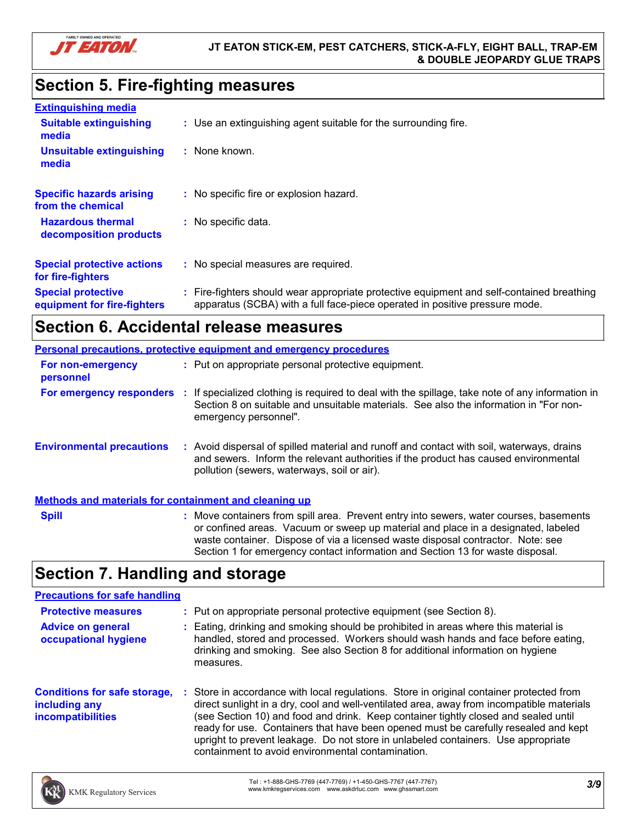

# **Section 5. Fire-fighting measures**

| <b>Extinguishing media</b>                               |                                                                                                                                                                        |
|----------------------------------------------------------|------------------------------------------------------------------------------------------------------------------------------------------------------------------------|
| <b>Suitable extinguishing</b><br>media                   | : Use an extinguishing agent suitable for the surrounding fire.                                                                                                        |
| <b>Unsuitable extinguishing</b><br>media                 | : None known.                                                                                                                                                          |
| <b>Specific hazards arising</b><br>from the chemical     | : No specific fire or explosion hazard.                                                                                                                                |
| <b>Hazardous thermal</b><br>decomposition products       | : No specific data.                                                                                                                                                    |
| <b>Special protective actions</b><br>for fire-fighters   | : No special measures are required.                                                                                                                                    |
| <b>Special protective</b><br>equipment for fire-fighters | Fire-fighters should wear appropriate protective equipment and self-contained breathing<br>apparatus (SCBA) with a full face-piece operated in positive pressure mode. |

# **Section 6. Accidental release measures**

| Personal precautions, protective equipment and emergency procedures |   |                                                                                                                                                                                                                                                                                                                                                  |  |
|---------------------------------------------------------------------|---|--------------------------------------------------------------------------------------------------------------------------------------------------------------------------------------------------------------------------------------------------------------------------------------------------------------------------------------------------|--|
| For non-emergency<br>personnel                                      |   | : Put on appropriate personal protective equipment.                                                                                                                                                                                                                                                                                              |  |
| For emergency responders                                            | ÷ | If specialized clothing is required to deal with the spillage, take note of any information in<br>Section 8 on suitable and unsuitable materials. See also the information in "For non-<br>emergency personnel".                                                                                                                                 |  |
| <b>Environmental precautions</b>                                    |   | : Avoid dispersal of spilled material and runoff and contact with soil, waterways, drains<br>and sewers. Inform the relevant authorities if the product has caused environmental<br>pollution (sewers, waterways, soil or air).                                                                                                                  |  |
| <b>Methods and materials for containment and cleaning up</b>        |   |                                                                                                                                                                                                                                                                                                                                                  |  |
| <b>Spill</b>                                                        |   | : Move containers from spill area. Prevent entry into sewers, water courses, basements<br>or confined areas. Vacuum or sweep up material and place in a designated, labeled<br>waste container. Dispose of via a licensed waste disposal contractor. Note: see<br>Section 1 for emergency contact information and Section 13 for waste disposal. |  |

# **Section 7. Handling and storage**

| <b>Precautions for safe handling</b>                                             |                                                                                                                                                                                                                                                                                                                                                                                                                                                                                                               |
|----------------------------------------------------------------------------------|---------------------------------------------------------------------------------------------------------------------------------------------------------------------------------------------------------------------------------------------------------------------------------------------------------------------------------------------------------------------------------------------------------------------------------------------------------------------------------------------------------------|
| <b>Protective measures</b>                                                       | : Put on appropriate personal protective equipment (see Section 8).                                                                                                                                                                                                                                                                                                                                                                                                                                           |
| <b>Advice on general</b><br>occupational hygiene                                 | : Eating, drinking and smoking should be prohibited in areas where this material is<br>handled, stored and processed. Workers should wash hands and face before eating,<br>drinking and smoking. See also Section 8 for additional information on hygiene<br>measures.                                                                                                                                                                                                                                        |
| <b>Conditions for safe storage,</b><br>including any<br><b>incompatibilities</b> | : Store in accordance with local regulations. Store in original container protected from<br>direct sunlight in a dry, cool and well-ventilated area, away from incompatible materials<br>(see Section 10) and food and drink. Keep container tightly closed and sealed until<br>ready for use. Containers that have been opened must be carefully resealed and kept<br>upright to prevent leakage. Do not store in unlabeled containers. Use appropriate<br>containment to avoid environmental contamination. |

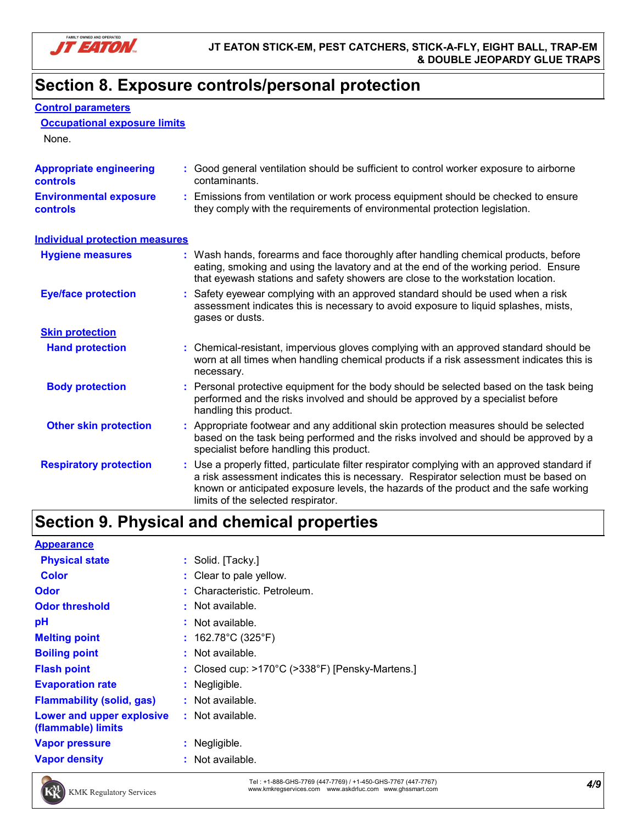

**Occupational exposure limits**

**Control parameters**

# **Section 8. Exposure controls/personal protection**

| None.                                      |                                                                                                                                                                                                                                                                                                                      |  |
|--------------------------------------------|----------------------------------------------------------------------------------------------------------------------------------------------------------------------------------------------------------------------------------------------------------------------------------------------------------------------|--|
| <b>Appropriate engineering</b><br>controls | : Good general ventilation should be sufficient to control worker exposure to airborne<br>contaminants.                                                                                                                                                                                                              |  |
| <b>Environmental exposure</b><br>controls  | Emissions from ventilation or work process equipment should be checked to ensure<br>t.<br>they comply with the requirements of environmental protection legislation.                                                                                                                                                 |  |
| <b>Individual protection measures</b>      |                                                                                                                                                                                                                                                                                                                      |  |
| <b>Hygiene measures</b>                    | : Wash hands, forearms and face thoroughly after handling chemical products, before<br>eating, smoking and using the lavatory and at the end of the working period. Ensure<br>that eyewash stations and safety showers are close to the workstation location.                                                        |  |
| <b>Eye/face protection</b>                 | Safety eyewear complying with an approved standard should be used when a risk<br>assessment indicates this is necessary to avoid exposure to liquid splashes, mists,<br>gases or dusts.                                                                                                                              |  |
| <b>Skin protection</b>                     |                                                                                                                                                                                                                                                                                                                      |  |
| <b>Hand protection</b>                     | : Chemical-resistant, impervious gloves complying with an approved standard should be<br>worn at all times when handling chemical products if a risk assessment indicates this is<br>necessary.                                                                                                                      |  |
| <b>Body protection</b>                     | Personal protective equipment for the body should be selected based on the task being<br>performed and the risks involved and should be approved by a specialist before<br>handling this product.                                                                                                                    |  |
| <b>Other skin protection</b>               | : Appropriate footwear and any additional skin protection measures should be selected<br>based on the task being performed and the risks involved and should be approved by a<br>specialist before handling this product.                                                                                            |  |
| <b>Respiratory protection</b>              | : Use a properly fitted, particulate filter respirator complying with an approved standard if<br>a risk assessment indicates this is necessary. Respirator selection must be based on<br>known or anticipated exposure levels, the hazards of the product and the safe working<br>limits of the selected respirator. |  |

# **Section 9. Physical and chemical properties**

| <b>Appearance</b>                               |                                                                      |
|-------------------------------------------------|----------------------------------------------------------------------|
| <b>Physical state</b>                           | : Solid. [Tacky.]                                                    |
| <b>Color</b>                                    | : Clear to pale yellow.                                              |
| <b>Odor</b>                                     | : Characteristic. Petroleum.                                         |
| <b>Odor threshold</b>                           | $\cdot$ Not available.                                               |
| pH                                              | : Not available.                                                     |
| <b>Melting point</b>                            | : $162.78^{\circ}$ C (325 $^{\circ}$ F)                              |
| <b>Boiling point</b>                            | $:$ Not available.                                                   |
| <b>Flash point</b>                              | : Closed cup: $>170^{\circ}$ C ( $>338^{\circ}$ F) [Pensky-Martens.] |
| <b>Evaporation rate</b>                         | : Negligible.                                                        |
| <b>Flammability (solid, gas)</b>                | $:$ Not available.                                                   |
| Lower and upper explosive<br>(flammable) limits | $:$ Not available.                                                   |
| <b>Vapor pressure</b>                           | $:$ Negligible.                                                      |
| <b>Vapor density</b>                            | : Not available.                                                     |



*4/9* Tel : +1-888-GHS-7769 (447-7769) / +1-450-GHS-7767 (447-7767) www.kmkregservices.com www.askdrluc.com www.ghssmart.com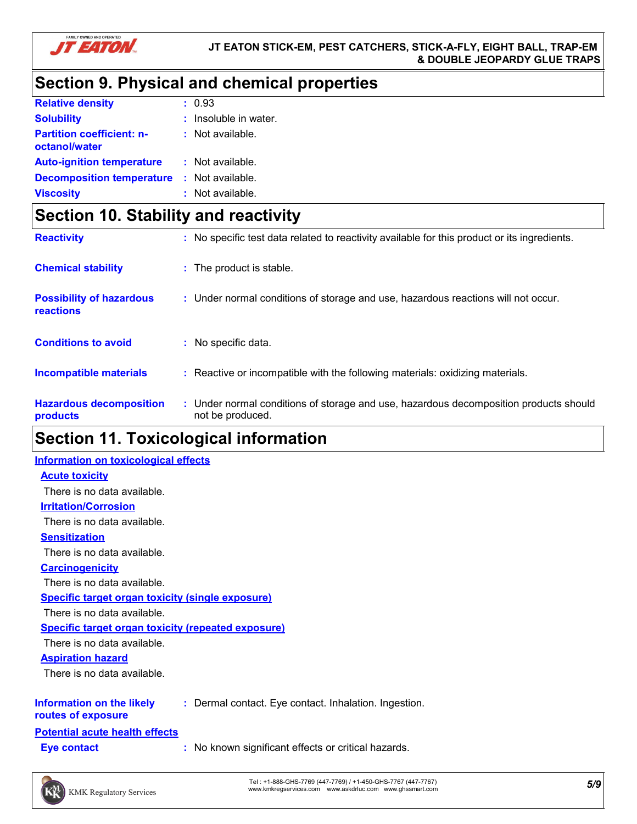

# **Section 9. Physical and chemical properties**

| <b>Relative density</b>                           | : 0.93                  |
|---------------------------------------------------|-------------------------|
| <b>Solubility</b>                                 | $:$ Insoluble in water. |
| <b>Partition coefficient: n-</b><br>octanol/water | $:$ Not available.      |
| <b>Auto-ignition temperature</b>                  | : Not available.        |
| <b>Decomposition temperature</b>                  | : Not available.        |
| <b>Viscosity</b>                                  | : Not available.        |

# **Section 10. Stability and reactivity**

| <b>Reactivity</b>                            | : No specific test data related to reactivity available for this product or its ingredients.              |
|----------------------------------------------|-----------------------------------------------------------------------------------------------------------|
| <b>Chemical stability</b>                    | : The product is stable.                                                                                  |
| <b>Possibility of hazardous</b><br>reactions | : Under normal conditions of storage and use, hazardous reactions will not occur.                         |
| <b>Conditions to avoid</b>                   | : No specific data.                                                                                       |
| Incompatible materials                       | Reactive or incompatible with the following materials: oxidizing materials.                               |
| <b>Hazardous decomposition</b><br>products   | : Under normal conditions of storage and use, hazardous decomposition products should<br>not be produced. |

# **Section 11. Toxicological information**

| <b>Information on toxicological effects</b>               |                                                       |
|-----------------------------------------------------------|-------------------------------------------------------|
| <b>Acute toxicity</b>                                     |                                                       |
| There is no data available.                               |                                                       |
| <b>Irritation/Corrosion</b>                               |                                                       |
| There is no data available.                               |                                                       |
| <b>Sensitization</b>                                      |                                                       |
| There is no data available.                               |                                                       |
| <b>Carcinogenicity</b>                                    |                                                       |
| There is no data available.                               |                                                       |
| <b>Specific target organ toxicity (single exposure)</b>   |                                                       |
| There is no data available.                               |                                                       |
| <b>Specific target organ toxicity (repeated exposure)</b> |                                                       |
| There is no data available.                               |                                                       |
| <b>Aspiration hazard</b>                                  |                                                       |
| There is no data available.                               |                                                       |
| Information on the likely<br>routes of exposure           | : Dermal contact. Eye contact. Inhalation. Ingestion. |
| <b>Potential acute health effects</b>                     |                                                       |
| Eye contact                                               | No known significant effects or critical hazards.     |
|                                                           |                                                       |

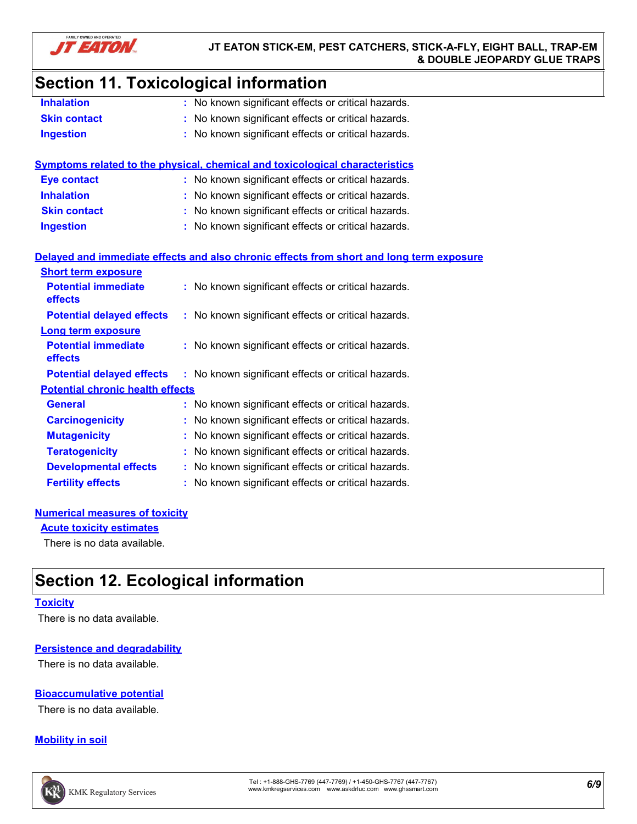

# **Section 11. Toxicological information**

| <b>Inhalation</b>   | : No known significant effects or critical hazards. |
|---------------------|-----------------------------------------------------|
| <b>Skin contact</b> | : No known significant effects or critical hazards. |
| <b>Ingestion</b>    | : No known significant effects or critical hazards. |

|                                              | Symptoms related to the physical, chemical and toxicological characteristics             |  |
|----------------------------------------------|------------------------------------------------------------------------------------------|--|
| <b>Eye contact</b>                           | : No known significant effects or critical hazards.                                      |  |
| <b>Inhalation</b>                            | : No known significant effects or critical hazards.                                      |  |
| <b>Skin contact</b>                          | : No known significant effects or critical hazards.                                      |  |
| <b>Ingestion</b>                             | : No known significant effects or critical hazards.                                      |  |
|                                              |                                                                                          |  |
|                                              | Delayed and immediate effects and also chronic effects from short and long term exposure |  |
| <b>Short term exposure</b>                   |                                                                                          |  |
| <b>Potential immediate</b><br><b>effects</b> | : No known significant effects or critical hazards.                                      |  |
| <b>Potential delayed effects</b>             | : No known significant effects or critical hazards.                                      |  |
| Long term exposure                           |                                                                                          |  |
| <b>Potential immediate</b><br>effects        | : No known significant effects or critical hazards.                                      |  |
| <b>Potential delayed effects</b>             | : No known significant effects or critical hazards.                                      |  |
| <b>Potential chronic health effects</b>      |                                                                                          |  |

**General :** No known significant effects or critical hazards. **Carcinogenicity :** No known significant effects or critical hazards. **Mutagenicity :** No known significant effects or critical hazards. **Teratogenicity :** No known significant effects or critical hazards. **Developmental effects :** No known significant effects or critical hazards. **Fertility effects :** No known significant effects or critical hazards.

**Acute toxicity estimates**

There is no data available.

# **Section 12. Ecological information**

#### **Toxicity**

There is no data available.

#### **Persistence and degradability**

There is no data available.

### **Bioaccumulative potential**

There is no data available.

### **Mobility in soil**

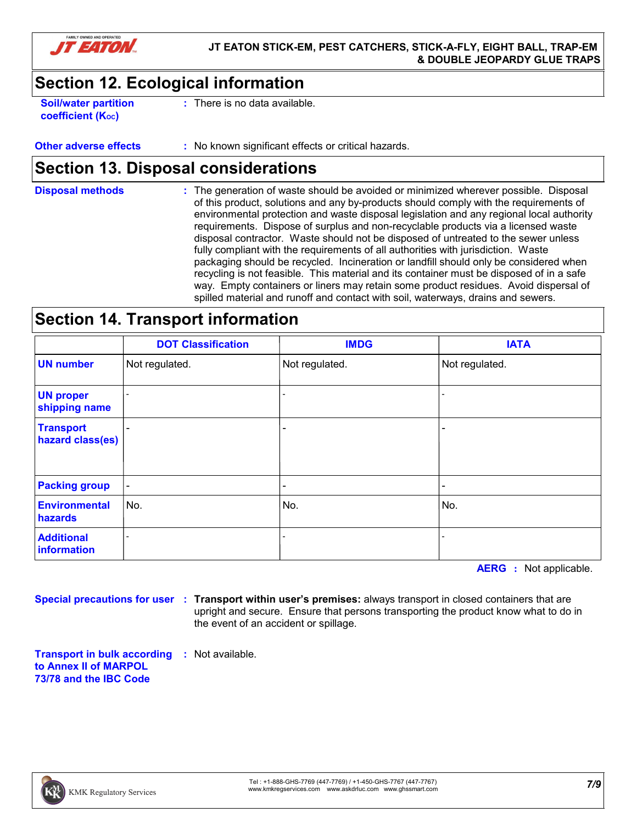

# **Section 12. Ecological information**

**Soil/water partition coefficient (Koc)** 

**:** There is no data available.

### **Other adverse effects** : No known significant effects or critical hazards.

### **Section 13. Disposal considerations**

The generation of waste should be avoided or minimized wherever possible. Disposal of this product, solutions and any by-products should comply with the requirements of environmental protection and waste disposal legislation and any regional local authority requirements. Dispose of surplus and non-recyclable products via a licensed waste disposal contractor. Waste should not be disposed of untreated to the sewer unless fully compliant with the requirements of all authorities with jurisdiction. Waste packaging should be recycled. Incineration or landfill should only be considered when recycling is not feasible. This material and its container must be disposed of in a safe way. Empty containers or liners may retain some product residues. Avoid dispersal of spilled material and runoff and contact with soil, waterways, drains and sewers. **Disposal methods :**

### **Section 14. Transport information**

|                                      | <b>DOT Classification</b> | <b>IMDG</b>                  | <b>IATA</b>    |
|--------------------------------------|---------------------------|------------------------------|----------------|
| <b>UN number</b>                     | Not regulated.            | Not regulated.               | Not regulated. |
| <b>UN proper</b><br>shipping name    | $\overline{\phantom{a}}$  | $\qquad \qquad \blacksquare$ |                |
| <b>Transport</b><br>hazard class(es) | -                         | $\overline{\phantom{0}}$     |                |
| <b>Packing group</b>                 | $\overline{\phantom{a}}$  | $\overline{\phantom{0}}$     |                |
| <b>Environmental</b><br>hazards      | No.                       | No.                          | No.            |
| <b>Additional</b><br>information     |                           |                              |                |

**AERG :** Not applicable.

**Special precautions for user Transport within user's premises:** always transport in closed containers that are **:** upright and secure. Ensure that persons transporting the product know what to do in the event of an accident or spillage.

**Transport in bulk according :** Not available. **to Annex II of MARPOL 73/78 and the IBC Code**

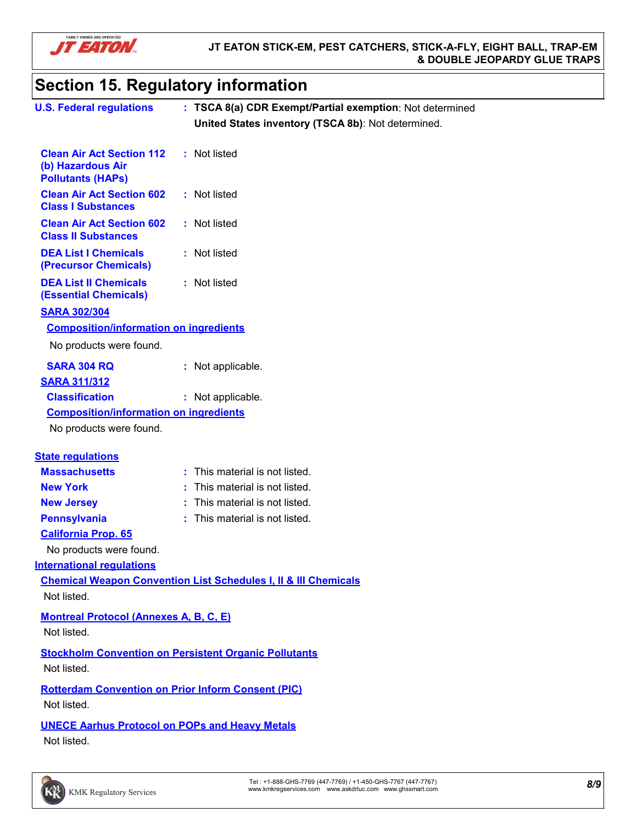

# **Section 15. Regulatory information**

| <b>U.S. Federal regulations</b>                                                   | : TSCA 8(a) CDR Exempt/Partial exemption: Not determined                   |
|-----------------------------------------------------------------------------------|----------------------------------------------------------------------------|
|                                                                                   | United States inventory (TSCA 8b): Not determined.                         |
|                                                                                   |                                                                            |
| <b>Clean Air Act Section 112</b><br>(b) Hazardous Air<br><b>Pollutants (HAPs)</b> | : Not listed                                                               |
| <b>Clean Air Act Section 602</b><br><b>Class I Substances</b>                     | : Not listed                                                               |
| <b>Clean Air Act Section 602</b><br><b>Class II Substances</b>                    | : Not listed                                                               |
| <b>DEA List I Chemicals</b><br>(Precursor Chemicals)                              | : Not listed                                                               |
| <b>DEA List II Chemicals</b><br><b>(Essential Chemicals)</b>                      | : Not listed                                                               |
| <b>SARA 302/304</b>                                                               |                                                                            |
| <b>Composition/information on ingredients</b>                                     |                                                                            |
| No products were found.                                                           |                                                                            |
| <b>SARA 304 RQ</b>                                                                | : Not applicable.                                                          |
| <b>SARA 311/312</b>                                                               |                                                                            |
| <b>Classification</b>                                                             | : Not applicable.                                                          |
| <b>Composition/information on ingredients</b>                                     |                                                                            |
| No products were found.                                                           |                                                                            |
| <b>State regulations</b>                                                          |                                                                            |
| <b>Massachusetts</b>                                                              | : This material is not listed.                                             |
| <b>New York</b>                                                                   | This material is not listed.                                               |
| <b>New Jersey</b>                                                                 | : This material is not listed.                                             |
| <b>Pennsylvania</b>                                                               | : This material is not listed.                                             |
| <b>California Prop. 65</b>                                                        |                                                                            |
| No products were found.                                                           |                                                                            |
| <b>International regulations</b>                                                  |                                                                            |
|                                                                                   | <b>Chemical Weapon Convention List Schedules I, II &amp; III Chemicals</b> |
| Not listed.                                                                       |                                                                            |
| <b>Montreal Protocol (Annexes A, B, C, E)</b><br>Not listed.                      |                                                                            |
| <b>Stockholm Convention on Persistent Organic Pollutants</b><br>Not listed.       |                                                                            |
| <b>Rotterdam Convention on Prior Inform Consent (PIC)</b>                         |                                                                            |
| Not listed.                                                                       |                                                                            |
| <b>UNECE Aarhus Protocol on POPs and Heavy Metals</b><br>Not listed.              |                                                                            |
|                                                                                   |                                                                            |